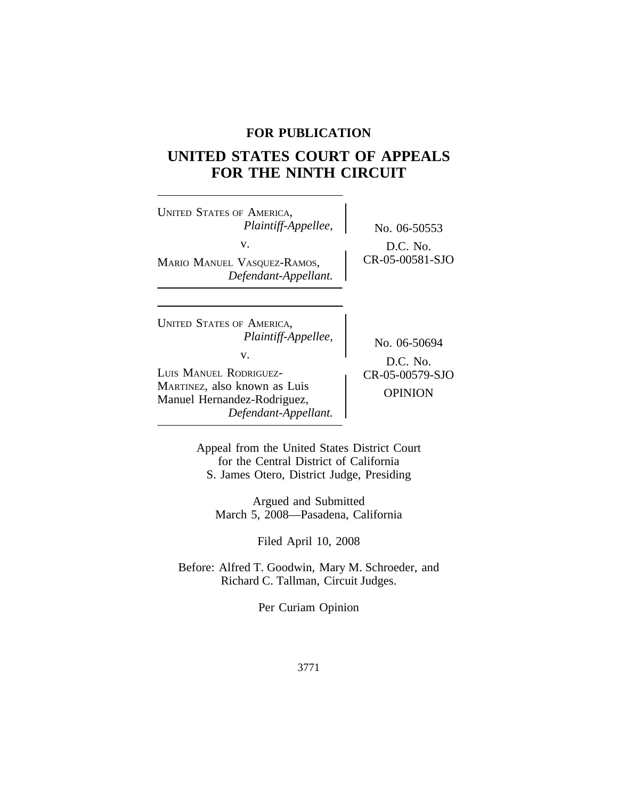# **FOR PUBLICATION**

# **UNITED STATES COURT OF APPEALS FOR THE NINTH CIRCUIT**

| <b>UNITED STATES OF AMERICA,</b><br>Plaintiff-Appellee,<br>v.<br>MARIO MANUEL VASQUEZ-RAMOS,<br>Defendant-Appellant.                                                           | No. 06-50553<br>D.C. No.<br>CR-05-00581-SJO                     |
|--------------------------------------------------------------------------------------------------------------------------------------------------------------------------------|-----------------------------------------------------------------|
| <b>UNITED STATES OF AMERICA,</b><br>Plaintiff-Appellee,<br>V.<br>LUIS MANUEL RODRIGUEZ-<br>MARTINEZ, also known as Luis<br>Manuel Hernandez-Rodriguez,<br>Defendant-Appellant. | No. 06-50694<br>$D.C.$ No.<br>CR-05-00579-SJO<br><b>OPINION</b> |

Appeal from the United States District Court for the Central District of California S. James Otero, District Judge, Presiding

Argued and Submitted March 5, 2008—Pasadena, California

Filed April 10, 2008

Before: Alfred T. Goodwin, Mary M. Schroeder, and Richard C. Tallman, Circuit Judges.

Per Curiam Opinion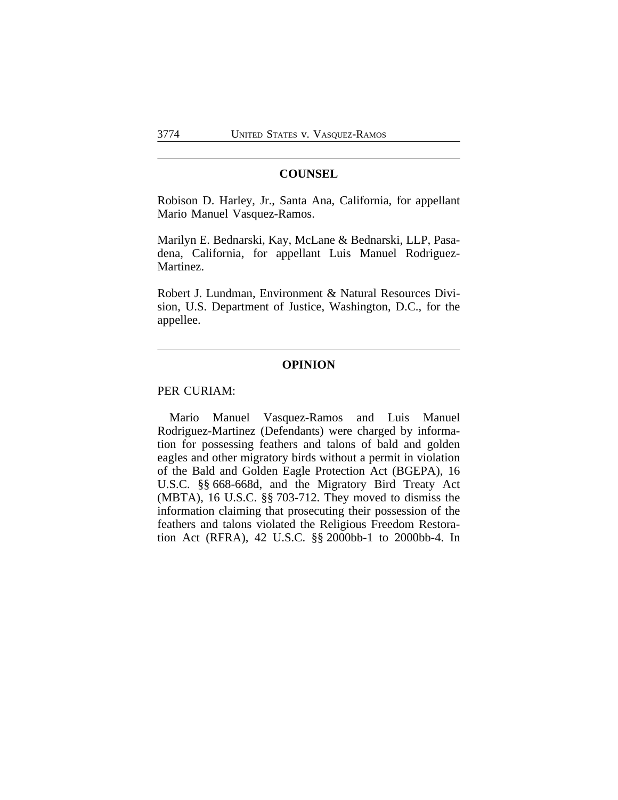#### **COUNSEL**

Robison D. Harley, Jr., Santa Ana, California, for appellant Mario Manuel Vasquez-Ramos.

Marilyn E. Bednarski, Kay, McLane & Bednarski, LLP, Pasadena, California, for appellant Luis Manuel Rodriguez-Martinez.

Robert J. Lundman, Environment & Natural Resources Division, U.S. Department of Justice, Washington, D.C., for the appellee.

#### **OPINION**

#### PER CURIAM:

Mario Manuel Vasquez-Ramos and Luis Manuel Rodriguez-Martinez (Defendants) were charged by information for possessing feathers and talons of bald and golden eagles and other migratory birds without a permit in violation of the Bald and Golden Eagle Protection Act (BGEPA), 16 U.S.C. §§ 668-668d, and the Migratory Bird Treaty Act (MBTA), 16 U.S.C. §§ 703-712. They moved to dismiss the information claiming that prosecuting their possession of the feathers and talons violated the Religious Freedom Restoration Act (RFRA), 42 U.S.C. §§ 2000bb-1 to 2000bb-4. In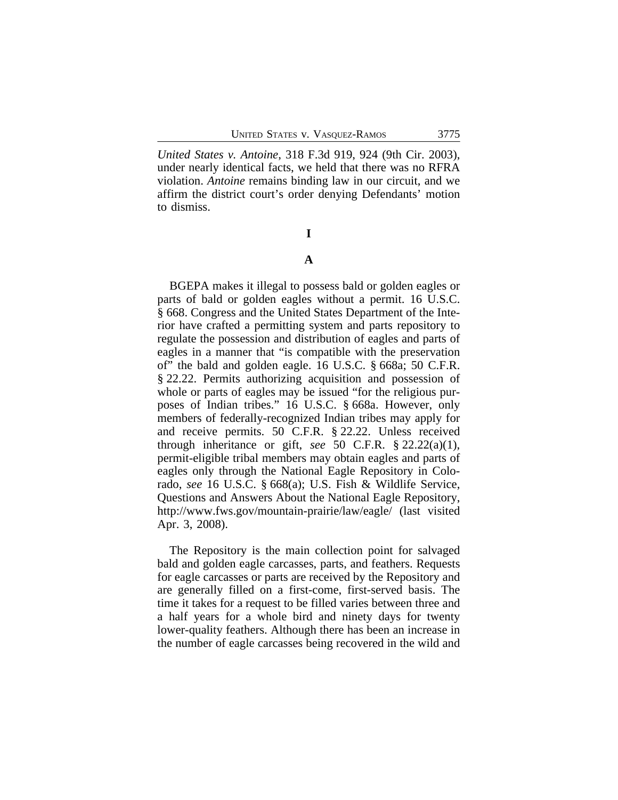*United States v. Antoine*, 318 F.3d 919, 924 (9th Cir. 2003), under nearly identical facts, we held that there was no RFRA violation. *Antoine* remains binding law in our circuit, and we affirm the district court's order denying Defendants' motion to dismiss.

#### **I**

#### **A**

BGEPA makes it illegal to possess bald or golden eagles or parts of bald or golden eagles without a permit. 16 U.S.C. § 668. Congress and the United States Department of the Interior have crafted a permitting system and parts repository to regulate the possession and distribution of eagles and parts of eagles in a manner that "is compatible with the preservation of" the bald and golden eagle. 16 U.S.C. § 668a; 50 C.F.R. § 22.22. Permits authorizing acquisition and possession of whole or parts of eagles may be issued "for the religious purposes of Indian tribes." 16 U.S.C. § 668a. However, only members of federally-recognized Indian tribes may apply for and receive permits. 50 C.F.R. § 22.22. Unless received through inheritance or gift, see 50 C.F.R.  $\S 22.22(a)(1)$ , permit-eligible tribal members may obtain eagles and parts of eagles only through the National Eagle Repository in Colorado, *see* 16 U.S.C. § 668(a); U.S. Fish & Wildlife Service, Questions and Answers About the National Eagle Repository, http://www.fws.gov/mountain-prairie/law/eagle/ (last visited Apr. 3, 2008).

The Repository is the main collection point for salvaged bald and golden eagle carcasses, parts, and feathers. Requests for eagle carcasses or parts are received by the Repository and are generally filled on a first-come, first-served basis. The time it takes for a request to be filled varies between three and a half years for a whole bird and ninety days for twenty lower-quality feathers. Although there has been an increase in the number of eagle carcasses being recovered in the wild and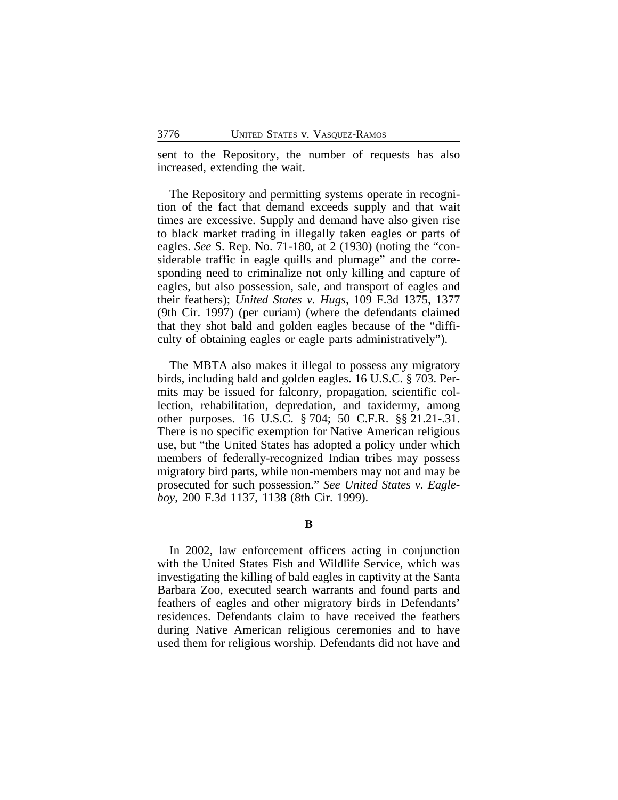sent to the Repository, the number of requests has also increased, extending the wait.

The Repository and permitting systems operate in recognition of the fact that demand exceeds supply and that wait times are excessive. Supply and demand have also given rise to black market trading in illegally taken eagles or parts of eagles. *See* S. Rep. No. 71-180, at 2 (1930) (noting the "considerable traffic in eagle quills and plumage" and the corresponding need to criminalize not only killing and capture of eagles, but also possession, sale, and transport of eagles and their feathers); *United States v. Hugs*, 109 F.3d 1375, 1377 (9th Cir. 1997) (per curiam) (where the defendants claimed that they shot bald and golden eagles because of the "difficulty of obtaining eagles or eagle parts administratively").

The MBTA also makes it illegal to possess any migratory birds, including bald and golden eagles. 16 U.S.C. § 703. Permits may be issued for falconry, propagation, scientific collection, rehabilitation, depredation, and taxidermy, among other purposes. 16 U.S.C. § 704; 50 C.F.R. §§ 21.21-.31. There is no specific exemption for Native American religious use, but "the United States has adopted a policy under which members of federally-recognized Indian tribes may possess migratory bird parts, while non-members may not and may be prosecuted for such possession." *See United States v. Eagleboy*, 200 F.3d 1137, 1138 (8th Cir. 1999).

#### **B**

In 2002, law enforcement officers acting in conjunction with the United States Fish and Wildlife Service, which was investigating the killing of bald eagles in captivity at the Santa Barbara Zoo, executed search warrants and found parts and feathers of eagles and other migratory birds in Defendants' residences. Defendants claim to have received the feathers during Native American religious ceremonies and to have used them for religious worship. Defendants did not have and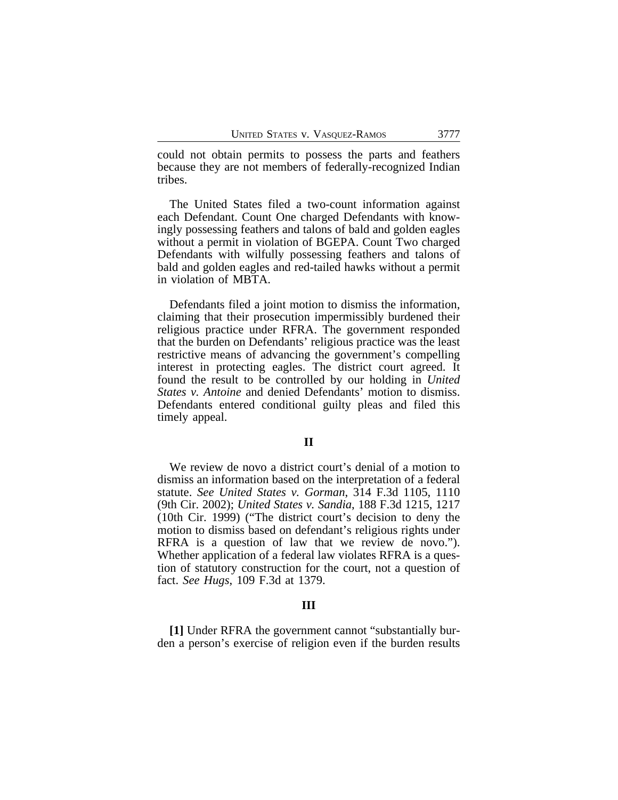could not obtain permits to possess the parts and feathers because they are not members of federally-recognized Indian tribes.

The United States filed a two-count information against each Defendant. Count One charged Defendants with knowingly possessing feathers and talons of bald and golden eagles without a permit in violation of BGEPA. Count Two charged Defendants with wilfully possessing feathers and talons of bald and golden eagles and red-tailed hawks without a permit in violation of MBTA.

Defendants filed a joint motion to dismiss the information, claiming that their prosecution impermissibly burdened their religious practice under RFRA. The government responded that the burden on Defendants' religious practice was the least restrictive means of advancing the government's compelling interest in protecting eagles. The district court agreed. It found the result to be controlled by our holding in *United States v. Antoine* and denied Defendants' motion to dismiss. Defendants entered conditional guilty pleas and filed this timely appeal.

#### **II**

We review de novo a district court's denial of a motion to dismiss an information based on the interpretation of a federal statute. *See United States v. Gorman*, 314 F.3d 1105, 1110 (9th Cir. 2002); *United States v. Sandia*, 188 F.3d 1215, 1217 (10th Cir. 1999) ("The district court's decision to deny the motion to dismiss based on defendant's religious rights under RFRA is a question of law that we review de novo."). Whether application of a federal law violates RFRA is a question of statutory construction for the court, not a question of fact. *See Hugs*, 109 F.3d at 1379.

#### **III**

**[1]** Under RFRA the government cannot "substantially burden a person's exercise of religion even if the burden results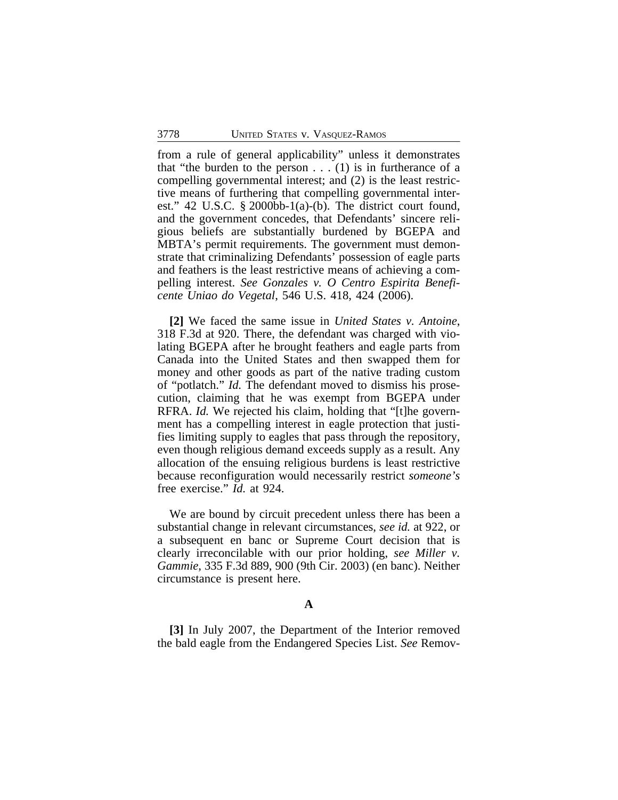from a rule of general applicability" unless it demonstrates that "the burden to the person  $\dots$  (1) is in furtherance of a compelling governmental interest; and (2) is the least restrictive means of furthering that compelling governmental interest." 42 U.S.C. § 2000bb-1(a)-(b). The district court found, and the government concedes, that Defendants' sincere religious beliefs are substantially burdened by BGEPA and MBTA's permit requirements. The government must demonstrate that criminalizing Defendants' possession of eagle parts and feathers is the least restrictive means of achieving a compelling interest. *See Gonzales v. O Centro Espirita Beneficente Uniao do Vegetal*, 546 U.S. 418, 424 (2006).

**[2]** We faced the same issue in *United States v. Antoine*, 318 F.3d at 920. There, the defendant was charged with violating BGEPA after he brought feathers and eagle parts from Canada into the United States and then swapped them for money and other goods as part of the native trading custom of "potlatch." *Id.* The defendant moved to dismiss his prosecution, claiming that he was exempt from BGEPA under RFRA. *Id.* We rejected his claim, holding that "[t]he government has a compelling interest in eagle protection that justifies limiting supply to eagles that pass through the repository, even though religious demand exceeds supply as a result. Any allocation of the ensuing religious burdens is least restrictive because reconfiguration would necessarily restrict *someone's* free exercise." *Id.* at 924.

We are bound by circuit precedent unless there has been a substantial change in relevant circumstances, *see id.* at 922, or a subsequent en banc or Supreme Court decision that is clearly irreconcilable with our prior holding, *see Miller v. Gammie*, 335 F.3d 889, 900 (9th Cir. 2003) (en banc). Neither circumstance is present here.

#### **A**

**[3]** In July 2007, the Department of the Interior removed the bald eagle from the Endangered Species List. *See* Remov-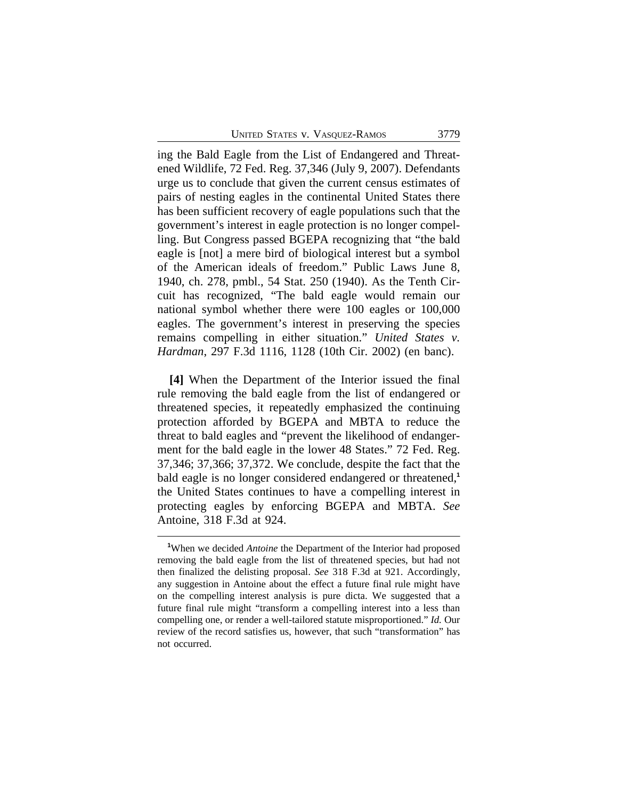ing the Bald Eagle from the List of Endangered and Threatened Wildlife, 72 Fed. Reg. 37,346 (July 9, 2007). Defendants urge us to conclude that given the current census estimates of pairs of nesting eagles in the continental United States there has been sufficient recovery of eagle populations such that the government's interest in eagle protection is no longer compelling. But Congress passed BGEPA recognizing that "the bald eagle is [not] a mere bird of biological interest but a symbol of the American ideals of freedom." Public Laws June 8, 1940, ch. 278, pmbl., 54 Stat. 250 (1940). As the Tenth Circuit has recognized, "The bald eagle would remain our national symbol whether there were 100 eagles or 100,000 eagles. The government's interest in preserving the species remains compelling in either situation." *United States v. Hardman*, 297 F.3d 1116, 1128 (10th Cir. 2002) (en banc).

**[4]** When the Department of the Interior issued the final rule removing the bald eagle from the list of endangered or threatened species, it repeatedly emphasized the continuing protection afforded by BGEPA and MBTA to reduce the threat to bald eagles and "prevent the likelihood of endangerment for the bald eagle in the lower 48 States." 72 Fed. Reg. 37,346; 37,366; 37,372. We conclude, despite the fact that the bald eagle is no longer considered endangered or threatened,**<sup>1</sup>** the United States continues to have a compelling interest in protecting eagles by enforcing BGEPA and MBTA. *See* Antoine, 318 F.3d at 924.

**<sup>1</sup>**When we decided *Antoine* the Department of the Interior had proposed removing the bald eagle from the list of threatened species, but had not then finalized the delisting proposal. *See* 318 F.3d at 921. Accordingly, any suggestion in Antoine about the effect a future final rule might have on the compelling interest analysis is pure dicta. We suggested that a future final rule might "transform a compelling interest into a less than compelling one, or render a well-tailored statute misproportioned." *Id.* Our review of the record satisfies us, however, that such "transformation" has not occurred.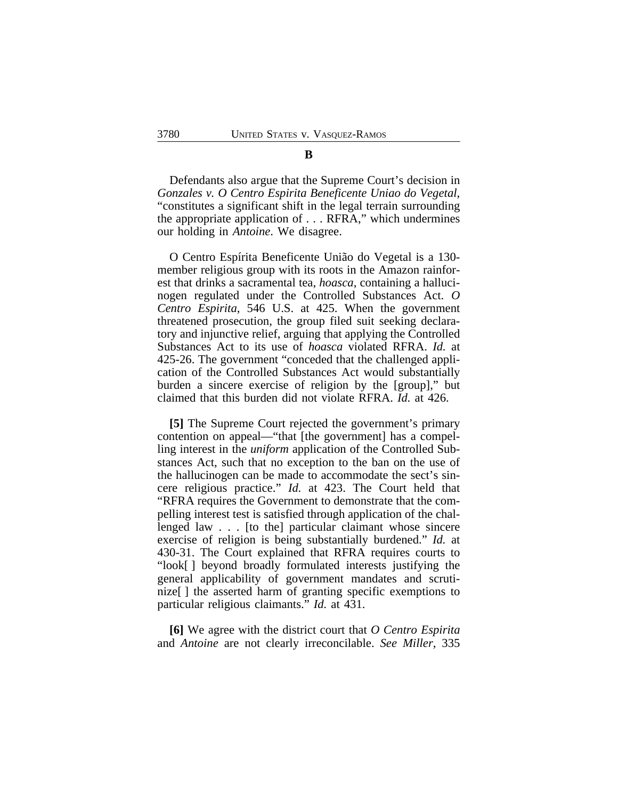Defendants also argue that the Supreme Court's decision in *Gonzales v. O Centro Espirita Beneficente Uniao do Vegetal*, "constitutes a significant shift in the legal terrain surrounding the appropriate application of . . . RFRA," which undermines our holding in *Antoine*. We disagree.

O Centro Espírita Beneficente União do Vegetal is a 130 member religious group with its roots in the Amazon rainforest that drinks a sacramental tea, *hoasca*, containing a hallucinogen regulated under the Controlled Substances Act. *O Centro Espirita*, 546 U.S. at 425. When the government threatened prosecution, the group filed suit seeking declaratory and injunctive relief, arguing that applying the Controlled Substances Act to its use of *hoasca* violated RFRA. *Id.* at 425-26. The government "conceded that the challenged application of the Controlled Substances Act would substantially burden a sincere exercise of religion by the [group]," but claimed that this burden did not violate RFRA. *Id.* at 426.

**[5]** The Supreme Court rejected the government's primary contention on appeal—"that [the government] has a compelling interest in the *uniform* application of the Controlled Substances Act, such that no exception to the ban on the use of the hallucinogen can be made to accommodate the sect's sincere religious practice." *Id.* at 423. The Court held that "RFRA requires the Government to demonstrate that the compelling interest test is satisfied through application of the challenged law . . . [to the] particular claimant whose sincere exercise of religion is being substantially burdened." *Id.* at 430-31. The Court explained that RFRA requires courts to "look[ ] beyond broadly formulated interests justifying the general applicability of government mandates and scrutinize[ ] the asserted harm of granting specific exemptions to particular religious claimants." *Id.* at 431.

**[6]** We agree with the district court that *O Centro Espirita* and *Antoine* are not clearly irreconcilable. *See Miller*, 335

### **B**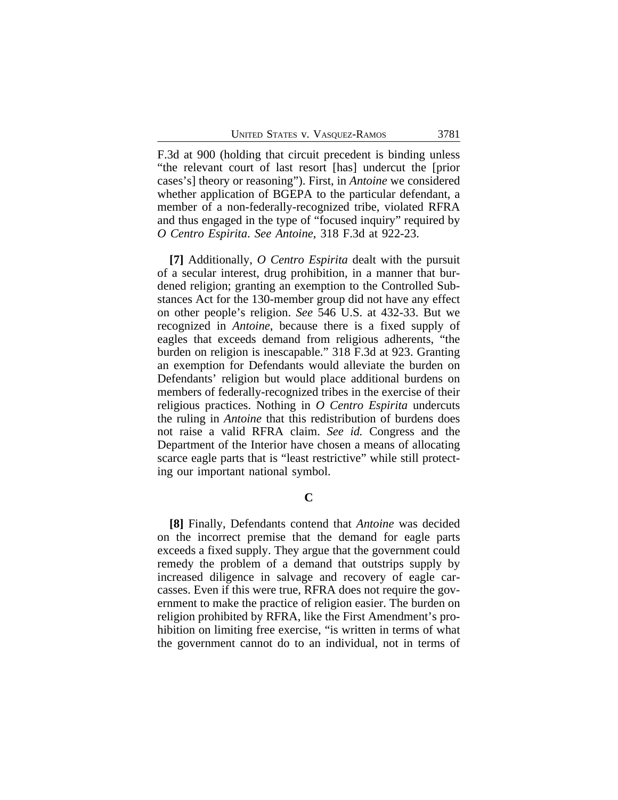F.3d at 900 (holding that circuit precedent is binding unless "the relevant court of last resort [has] undercut the [prior cases's] theory or reasoning"). First, in *Antoine* we considered whether application of BGEPA to the particular defendant, a member of a non-federally-recognized tribe, violated RFRA and thus engaged in the type of "focused inquiry" required by *O Centro Espirita*. *See Antoine*, 318 F.3d at 922-23.

**[7]** Additionally, *O Centro Espirita* dealt with the pursuit of a secular interest, drug prohibition, in a manner that burdened religion; granting an exemption to the Controlled Substances Act for the 130-member group did not have any effect on other people's religion. *See* 546 U.S. at 432-33. But we recognized in *Antoine*, because there is a fixed supply of eagles that exceeds demand from religious adherents, "the burden on religion is inescapable." 318 F.3d at 923. Granting an exemption for Defendants would alleviate the burden on Defendants' religion but would place additional burdens on members of federally-recognized tribes in the exercise of their religious practices. Nothing in *O Centro Espirita* undercuts the ruling in *Antoine* that this redistribution of burdens does not raise a valid RFRA claim. *See id.* Congress and the Department of the Interior have chosen a means of allocating scarce eagle parts that is "least restrictive" while still protecting our important national symbol.

**C**

**[8]** Finally, Defendants contend that *Antoine* was decided on the incorrect premise that the demand for eagle parts exceeds a fixed supply. They argue that the government could remedy the problem of a demand that outstrips supply by increased diligence in salvage and recovery of eagle carcasses. Even if this were true, RFRA does not require the government to make the practice of religion easier. The burden on religion prohibited by RFRA, like the First Amendment's prohibition on limiting free exercise, "is written in terms of what the government cannot do to an individual, not in terms of